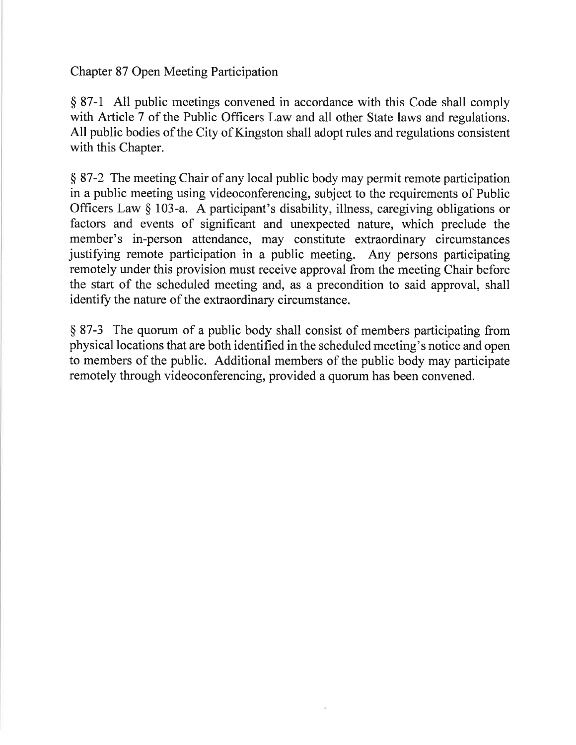Chapter 87 Open Meeting Participation

\$ 87-1 All public meetings convened in accordance with this Code shall comply with Article 7 of the Public Officers Law and all other State laws and regulations. All public bodies of the City of Kingston shall adopt rules and regulations consistent with this Chapter.

\$ 87-2 The meeting Chair of any local public body may permit remote participation in a public meeting using videoconferencing, subject to the requirements of Public Officers Law \$ 103-a. A participant's disability, illness, caregiving obligations or factors and events of significant and unexpected nature, which preclude the member's in-person attendance, may constitute extraordinary circumstances justifying remote participation in a public meeting. Any persons participating remotely under this provision must receive approval from the meeting Chair before the start of the scheduled meeting and, as a precondition to said approval, shall identify the nature of the extraordinary circumstance.

\$ 87-3 The quorum of a public body shall consist of members participating from physical locations that are both identified in the scheduled meeting's notice and open to members of the public. Additional members of the public body may participate remotely through videoconferencing, provided a quorum has been convened.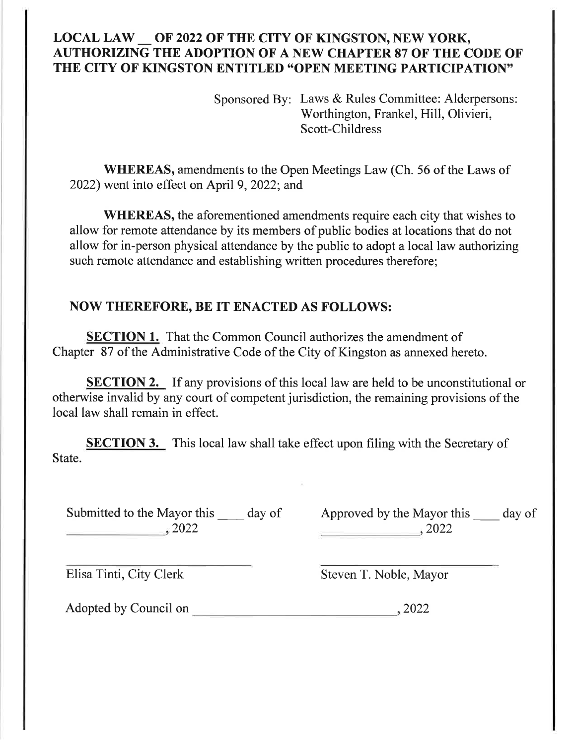## LOCAL LAW OF 2022 OF THE CITY OF KINGSTON, NEW YORK, AUTHORIZING THE ADOPTION OF A NEW CHAPTER 87 OF THE CODE OF' THE CITY OF KINGSTON ENTITLED "OPEN MEETING PARTICIPATION"

Sponsored By: Laws & Rules Committee: Alderpersons: Worthington, Frankel, Hill, Olivieri, Scott-Childress

WHEREAS, amendments to the Open Meetings Law (Ch. 56 of the Laws of 2022) went into effect on April 9, 2022; and

WHEREAS, the aforementioned amendments require each city that wishes to allow for remote attendance by its members of public bodies at locations that do not allow for in-person physical attendance by the public to adopt a local law authorizing such remote attendance and establishing written procedures therefore;

## NOW THEREFORE, BE IT ENACTED AS FOLLOWS:

**SECTION 1.** That the Common Council authorizes the amendment of Chapter 87 of the Administrative Code of the City of Kingston as annexed hereto.

**SECTION 2.** If any provisions of this local law are held to be unconstitutional or otherwise invalid by any court of competent jurisdiction, the remaining provisions of the local law shall remain in effect.

**SECTION 3.** This local law shall take effect upon filing with the Secretary of State.

Submitted to the Mayor this \_\_\_\_\_\_ day of Approved by the Mayor this \_\_\_\_\_ day of  $\frac{2022}{\sqrt{10}}$ 

 $2022$ 

Elisa Tinti, City Clerk Steven T. Noble, Mayor

Adopted by Council on 2022